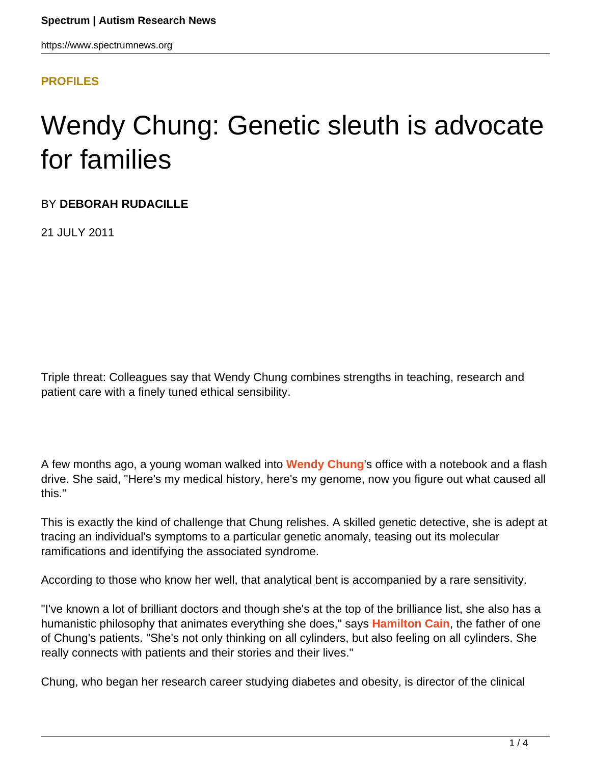#### **[PROFILES](HTTPS://WWW.SPECTRUMNEWS.ORG/NEWS/PROFILES/)**

# Wendy Chung: Genetic sleuth is advocate for families

#### BY **DEBORAH RUDACILLE**

21 JULY 2011

Triple threat: Colleagues say that Wendy Chung combines strengths in teaching, research and patient care with a finely tuned ethical sensibility.

A few months ago, a young woman walked into **[Wendy Chung](http://www.columbiasurgery.org/hcm/staff_chung.html)**'s office with a notebook and a flash drive. She said, "Here's my medical history, here's my genome, now you figure out what caused all this."

This is exactly the kind of challenge that Chung relishes. A skilled genetic detective, she is adept at tracing an individual's symptoms to a particular genetic anomaly, teasing out its molecular ramifications and identifying the associated syndrome.

According to those who know her well, that analytical bent is accompanied by a rare sensitivity.

"I've known a lot of brilliant doctors and though she's at the top of the brilliance list, she also has a humanistic philosophy that animates everything she does," says **[Hamilton Cain](http://www.menshealth.com/best-life/fatherchild-communication)**, the father of one of Chung's patients. "She's not only thinking on all cylinders, but also feeling on all cylinders. She really connects with patients and their stories and their lives."

Chung, who began her research career studying diabetes and obesity, is director of the clinical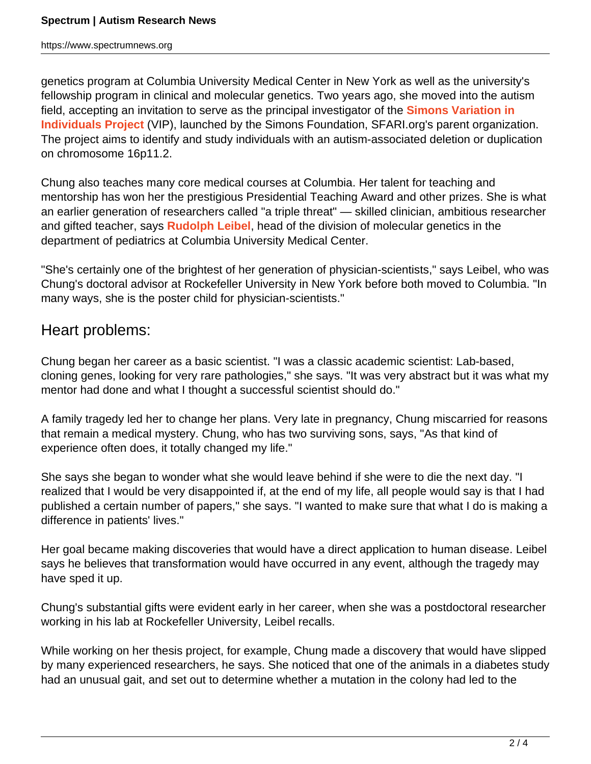https://www.spectrumnews.org

genetics program at Columbia University Medical Center in New York as well as the university's fellowship program in clinical and molecular genetics. Two years ago, she moved into the autism field, accepting an invitation to serve as the principal investigator of the **[Simons Variation in](http://sfari.org/resources/simons-vip) [Individuals Project](http://sfari.org/resources/simons-vip)** (VIP), launched by the Simons Foundation, SFARI.org's parent organization. The project aims to identify and study individuals with an autism-associated deletion or duplication on chromosome 16p11.2.

Chung also teaches many core medical courses at Columbia. Her talent for teaching and mentorship has won her the prestigious Presidential Teaching Award and other prizes. She is what an earlier generation of researchers called "a triple threat" — skilled clinician, ambitious researcher and gifted teacher, says **[Rudolph Leibel]((http:/www.columbiamedicine.org/divisions/Endo/faculty/leibel.
html)**, head of the division of molecular genetics in the department of pediatrics at Columbia University Medical Center.

"She's certainly one of the brightest of her generation of physician-scientists," says Leibel, who was Chung's doctoral advisor at Rockefeller University in New York before both moved to Columbia. "In many ways, she is the poster child for physician-scientists."

## Heart problems:

Chung began her career as a basic scientist. "I was a classic academic scientist: Lab-based, cloning genes, looking for very rare pathologies," she says. "It was very abstract but it was what my mentor had done and what I thought a successful scientist should do."

A family tragedy led her to change her plans. Very late in pregnancy, Chung miscarried for reasons that remain a medical mystery. Chung, who has two surviving sons, says, "As that kind of experience often does, it totally changed my life."

She says she began to wonder what she would leave behind if she were to die the next day. "I realized that I would be very disappointed if, at the end of my life, all people would say is that I had published a certain number of papers," she says. "I wanted to make sure that what I do is making a difference in patients' lives."

Her goal became making discoveries that would have a direct application to human disease. Leibel says he believes that transformation would have occurred in any event, although the tragedy may have sped it up.

Chung's substantial gifts were evident early in her career, when she was a postdoctoral researcher working in his lab at Rockefeller University, Leibel recalls.

While working on her thesis project, for example, Chung made a discovery that would have slipped by many experienced researchers, he says. She noticed that one of the animals in a diabetes study had an unusual gait, and set out to determine whether a mutation in the colony had led to the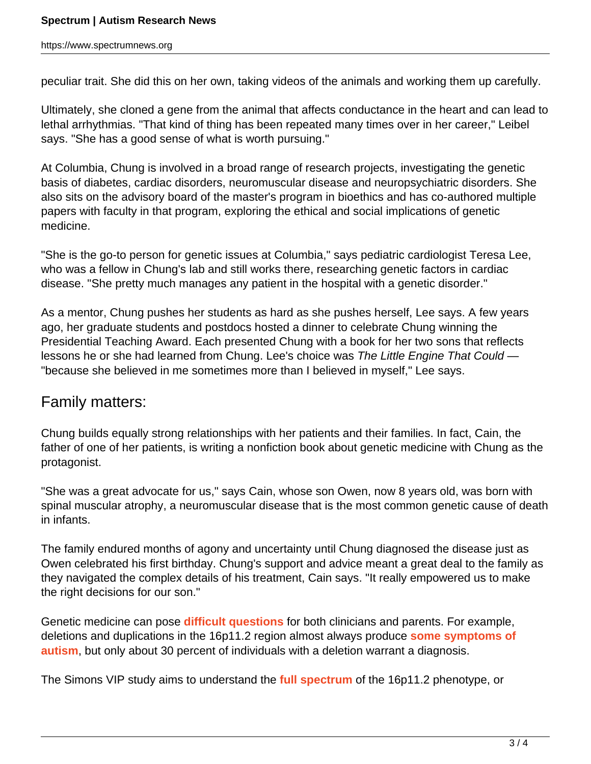peculiar trait. She did this on her own, taking videos of the animals and working them up carefully.

Ultimately, she cloned a gene from the animal that affects conductance in the heart and can lead to lethal arrhythmias. "That kind of thing has been repeated many times over in her career," Leibel says. "She has a good sense of what is worth pursuing."

At Columbia, Chung is involved in a broad range of research projects, investigating the genetic basis of diabetes, cardiac disorders, neuromuscular disease and neuropsychiatric disorders. She also sits on the advisory board of the master's program in bioethics and has co-authored multiple papers with faculty in that program, exploring the ethical and social implications of genetic medicine.

"She is the go-to person for genetic issues at Columbia," says pediatric cardiologist Teresa Lee, who was a fellow in Chung's lab and still works there, researching genetic factors in cardiac disease. "She pretty much manages any patient in the hospital with a genetic disorder."

As a mentor, Chung pushes her students as hard as she pushes herself, Lee says. A few years ago, her graduate students and postdocs hosted a dinner to celebrate Chung winning the Presidential Teaching Award. Each presented Chung with a book for her two sons that reflects lessons he or she had learned from Chung. Lee's choice was The Little Engine That Could — "because she believed in me sometimes more than I believed in myself," Lee says.

### Family matters:

Chung builds equally strong relationships with her patients and their families. In fact, Cain, the father of one of her patients, is writing a nonfiction book about genetic medicine with Chung as the protagonist.

"She was a great advocate for us," says Cain, whose son Owen, now 8 years old, was born with spinal muscular atrophy, a neuromuscular disease that is the most common genetic cause of death in infants.

The family endured months of agony and uncertainty until Chung diagnosed the disease just as Owen celebrated his first birthday. Chung's support and advice meant a great deal to the family as they navigated the complex details of his treatment, Cain says. "It really empowered us to make the right decisions for our son."

Genetic medicine can pose **[difficult questions](https://sfari.org/51/-/asset_publisher/6Tog/content/prenatal-tests
-for-autism-mutations-pose-ethical-dilemmas)** for both clinicians and parents. For example, deletions and duplications in the 16p11.2 region almost always produce **[some symptoms of](https://sfari.org/news-and-commentary/open-article/-/
asset_publisher/6Tog/content/genetics-study-reexamines-role-of-16p11-2-
in-autism) [autism](https://sfari.org/news-and-commentary/open-article/-/
asset_publisher/6Tog/content/genetics-study-reexamines-role-of-16p11-2-
in-autism)**, but only about 30 percent of individuals with a deletion warrant a diagnosis.

The Simons VIP study aims to understand the **[full spectrum](https://sfari.org/news/-/asset_publisher/6Tog/content/chromosome-
16-changes-linked-to-myriad-disorders)** of the 16p11.2 phenotype, or